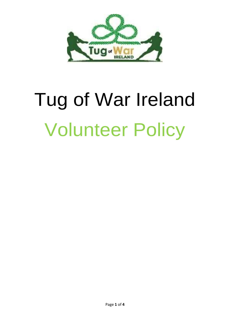

# Tug of War Ireland Volunteer Policy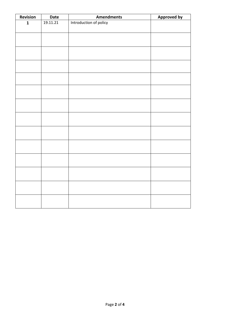| Revision     | Date     | <b>Amendments</b>      | <b>Approved by</b> |
|--------------|----------|------------------------|--------------------|
| $\mathbf{1}$ | 19.11.21 | Introduction of policy |                    |
|              |          |                        |                    |
|              |          |                        |                    |
|              |          |                        |                    |
|              |          |                        |                    |
|              |          |                        |                    |
|              |          |                        |                    |
|              |          |                        |                    |
|              |          |                        |                    |
|              |          |                        |                    |
|              |          |                        |                    |
|              |          |                        |                    |
|              |          |                        |                    |
|              |          |                        |                    |
|              |          |                        |                    |
|              |          |                        |                    |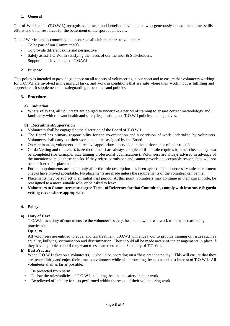#### **1. General**

Tug of War Ireland (T.O.W.I.) recognises the need and benefits of volunteers who generously donate their time, skills, efforts and other resources for the betterment of the sport at all levels.

Tug of War Ireland is committed to encourage all club members to volunteer: -

- To be part of our Committee(s).
- To provide different skills and perspective.
- Safely assist T.O.W.I in satisfying the needs of our member & Stakeholders.
- Support a positive image of T.O.W.I

#### **2. Purpose**

This policy is intended to provide guidance on all aspects of volunteering in our sport and to ensure that volunteers working for T.O.W.I are involved in meaningful tasks, and work in conditions that are safe where their work input is fulfilling and appreciated. It supplements the safeguarding procedures and policies.

### **3. Procedures**

#### **a) Induction**

• Where **relevant**, all volunteers are obliged to undertake a period of training to ensure correct methodology and familiarity with relevant health and safety legalisation, and T.O.W.I policies and objectives.

#### **b) Recruitment/Supervision**

- Volunteers shall be engaged at the discretion of the Board of T.O.W.I .
- The Board has primary responsibility for the co-ordination and supervision of work undertaken by volunteers. Volunteers shall carry out their work and duties assigned by the Board.
- On certain tasks, volunteers shall receive appropriate supervision in the performance of their role(s).
- Garda Vetting and references (safe recruitment) are always completed if the role requires it; other checks may also be completed (for example, ascertaining professional qualifications). Volunteers are always advised in advance of the intention to make these checks. If they refuse permission and cannot provide an acceptable reason, they will not be considered for placement.
- Formal appointments are made only after the role description has been agreed and all necessary safe recruitment checks have proved acceptable. No placements are made unless the requirements of the volunteer can be met.
- Placements may be subject to an initial trial period. At this point, volunteers may continue in their current role, be reassigned to a more suitable role, or be asked to leave.
- **Volunteers to Committees must agree Terms of Reference for that Committee, comply with insurance & garda vetting cover where appropriate.**

#### **4. Policy**

#### **a) Duty of Care**

T.O.W.I has a duty of care to ensure the volunteer's safety, health and welfare at work as far as is reasonably practicable.

#### **Equality**

All volunteers are entitled to equal and fair treatment. T.O.W.I will endeavour to provide training on issues such as equality, bullying, victimisation and discrimination. They should all be made aware of the arrangements in place if they have a problem and if they want to escalate them to the Secretary of T.O.W.I.

#### **b) Best Practice**

When T.O.W.I takes on a volunteer(s), it should be operating on a "best practice policy". This will ensure that they are treated fairly and enjoy their time as a volunteer while also protecting the needs and best interest of T.O.W.I. All volunteers shall as far as possible:

- Be protected from harm.
- Follow the rules/policies of T.O.W.I including health and safety in their work.
- Be relieved of liability for acts performed within the scope of their volunteering work.